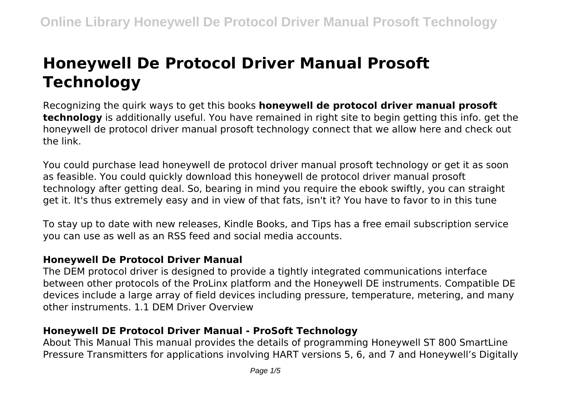# **Honeywell De Protocol Driver Manual Prosoft Technology**

Recognizing the quirk ways to get this books **honeywell de protocol driver manual prosoft technology** is additionally useful. You have remained in right site to begin getting this info. get the honeywell de protocol driver manual prosoft technology connect that we allow here and check out the link.

You could purchase lead honeywell de protocol driver manual prosoft technology or get it as soon as feasible. You could quickly download this honeywell de protocol driver manual prosoft technology after getting deal. So, bearing in mind you require the ebook swiftly, you can straight get it. It's thus extremely easy and in view of that fats, isn't it? You have to favor to in this tune

To stay up to date with new releases, Kindle Books, and Tips has a free email subscription service you can use as well as an RSS feed and social media accounts.

# **Honeywell De Protocol Driver Manual**

The DEM protocol driver is designed to provide a tightly integrated communications interface between other protocols of the ProLinx platform and the Honeywell DE instruments. Compatible DE devices include a large array of field devices including pressure, temperature, metering, and many other instruments. 1.1 DEM Driver Overview

# **Honeywell DE Protocol Driver Manual - ProSoft Technology**

About This Manual This manual provides the details of programming Honeywell ST 800 SmartLine Pressure Transmitters for applications involving HART versions 5, 6, and 7 and Honeywell's Digitally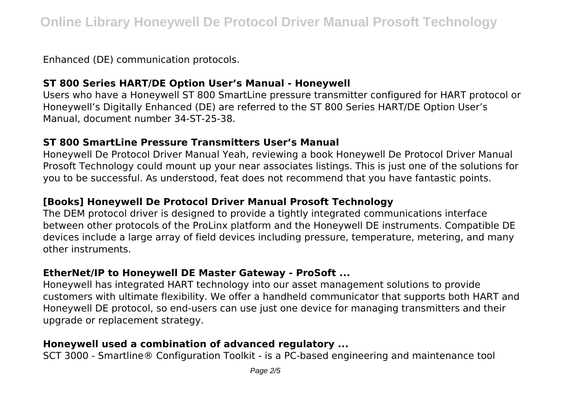Enhanced (DE) communication protocols.

### **ST 800 Series HART/DE Option User's Manual - Honeywell**

Users who have a Honeywell ST 800 SmartLine pressure transmitter configured for HART protocol or Honeywell's Digitally Enhanced (DE) are referred to the ST 800 Series HART/DE Option User's Manual, document number 34-ST-25-38.

### **ST 800 SmartLine Pressure Transmitters User's Manual**

Honeywell De Protocol Driver Manual Yeah, reviewing a book Honeywell De Protocol Driver Manual Prosoft Technology could mount up your near associates listings. This is just one of the solutions for you to be successful. As understood, feat does not recommend that you have fantastic points.

# **[Books] Honeywell De Protocol Driver Manual Prosoft Technology**

The DEM protocol driver is designed to provide a tightly integrated communications interface between other protocols of the ProLinx platform and the Honeywell DE instruments. Compatible DE devices include a large array of field devices including pressure, temperature, metering, and many other instruments.

# **EtherNet/IP to Honeywell DE Master Gateway - ProSoft ...**

Honeywell has integrated HART technology into our asset management solutions to provide customers with ultimate flexibility. We offer a handheld communicator that supports both HART and Honeywell DE protocol, so end-users can use just one device for managing transmitters and their upgrade or replacement strategy.

# **Honeywell used a combination of advanced regulatory ...**

SCT 3000 - Smartline® Configuration Toolkit - is a PC-based engineering and maintenance tool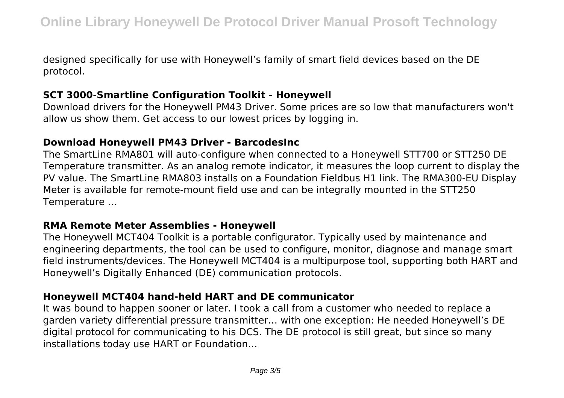designed specifically for use with Honeywell's family of smart field devices based on the DE protocol.

# **SCT 3000-Smartline Configuration Toolkit - Honeywell**

Download drivers for the Honeywell PM43 Driver. Some prices are so low that manufacturers won't allow us show them. Get access to our lowest prices by logging in.

### **Download Honeywell PM43 Driver - BarcodesInc**

The SmartLine RMA801 will auto-configure when connected to a Honeywell STT700 or STT250 DE Temperature transmitter. As an analog remote indicator, it measures the loop current to display the PV value. The SmartLine RMA803 installs on a Foundation Fieldbus H1 link. The RMA300-EU Display Meter is available for remote-mount field use and can be integrally mounted in the STT250 Temperature ...

#### **RMA Remote Meter Assemblies - Honeywell**

The Honeywell MCT404 Toolkit is a portable configurator. Typically used by maintenance and engineering departments, the tool can be used to configure, monitor, diagnose and manage smart field instruments/devices. The Honeywell MCT404 is a multipurpose tool, supporting both HART and Honeywell's Digitally Enhanced (DE) communication protocols.

# **Honeywell MCT404 hand-held HART and DE communicator**

It was bound to happen sooner or later. I took a call from a customer who needed to replace a garden variety differential pressure transmitter… with one exception: He needed Honeywell's DE digital protocol for communicating to his DCS. The DE protocol is still great, but since so many installations today use HART or Foundation…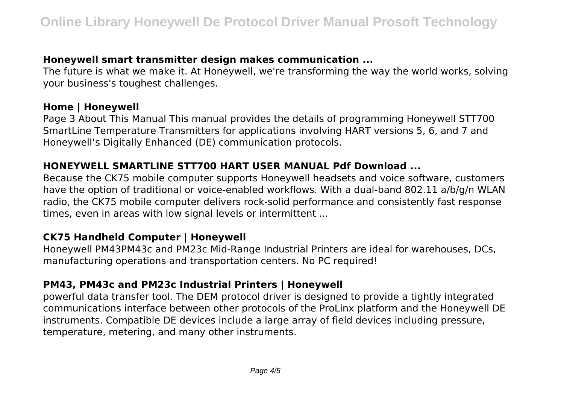## **Honeywell smart transmitter design makes communication ...**

The future is what we make it. At Honeywell, we're transforming the way the world works, solving your business's toughest challenges.

#### **Home | Honeywell**

Page 3 About This Manual This manual provides the details of programming Honeywell STT700 SmartLine Temperature Transmitters for applications involving HART versions 5, 6, and 7 and Honeywell's Digitally Enhanced (DE) communication protocols.

### **HONEYWELL SMARTLINE STT700 HART USER MANUAL Pdf Download ...**

Because the CK75 mobile computer supports Honeywell headsets and voice software, customers have the option of traditional or voice-enabled workflows. With a dual-band 802.11 a/b/g/n WLAN radio, the CK75 mobile computer delivers rock-solid performance and consistently fast response times, even in areas with low signal levels or intermittent ...

#### **CK75 Handheld Computer | Honeywell**

Honeywell PM43PM43c and PM23c Mid-Range Industrial Printers are ideal for warehouses, DCs, manufacturing operations and transportation centers. No PC required!

# **PM43, PM43c and PM23c Industrial Printers | Honeywell**

powerful data transfer tool. The DEM protocol driver is designed to provide a tightly integrated communications interface between other protocols of the ProLinx platform and the Honeywell DE instruments. Compatible DE devices include a large array of field devices including pressure, temperature, metering, and many other instruments.